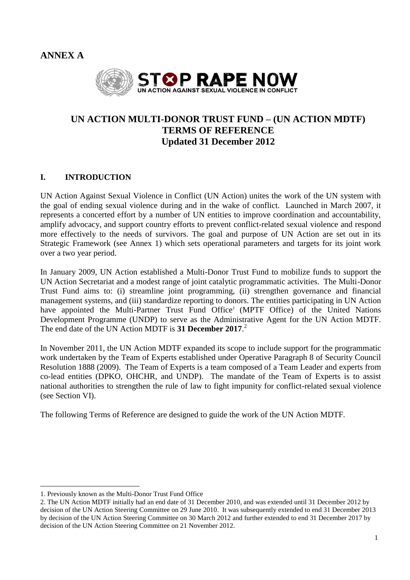**ANNEX A**



# **UN ACTION MULTI-DONOR TRUST FUND – (UN ACTION MDTF) TERMS OF REFERENCE Updated 31 December 2012**

### **I. INTRODUCTION**

UN Action Against Sexual Violence in Conflict (UN Action) unites the work of the UN system with the goal of ending sexual violence during and in the wake of conflict. Launched in March 2007, it represents a concerted effort by a number of UN entities to improve coordination and accountability, amplify advocacy, and support country efforts to prevent conflict-related sexual violence and respond more effectively to the needs of survivors. The goal and purpose of UN Action are set out in its Strategic Framework (see Annex 1) which sets operational parameters and targets for its joint work over a two year period.

In January 2009, UN Action established a Multi-Donor Trust Fund to mobilize funds to support the UN Action Secretariat and a modest range of joint catalytic programmatic activities. The Multi-Donor Trust Fund aims to: (i) streamline joint programming, (ii) strengthen governance and financial management systems, and (iii) standardize reporting to donors. The entities participating in UN Action have appointed the Multi-Partner Trust Fund Office<sup>1</sup> (MPTF Office) of the United Nations Development Programme (UNDP) to serve as the Administrative Agent for the UN Action MDTF. The end date of the UN Action MDTF is **31 December 2017**. 2

In November 2011, the UN Action MDTF expanded its scope to include support for the programmatic work undertaken by the Team of Experts established under Operative Paragraph 8 of Security Council Resolution 1888 (2009). The Team of Experts is a team composed of a Team Leader and experts from co-lead entities (DPKO, OHCHR, and UNDP). The mandate of the Team of Experts is to assist national authorities to strengthen the rule of law to fight impunity for conflict-related sexual violence (see Section VI).

The following Terms of Reference are designed to guide the work of the UN Action MDTF.

l

<sup>1.</sup> Previously known as the Multi-Donor Trust Fund Office

<sup>2.</sup> The UN Action MDTF initially had an end date of 31 December 2010, and was extended until 31 December 2012 by decision of the UN Action Steering Committee on 29 June 2010. It was subsequently extended to end 31 December 2013 by decision of the UN Action Steering Committee on 30 March 2012 and further extended to end 31 December 2017 by decision of the UN Action Steering Committee on 21 November 2012.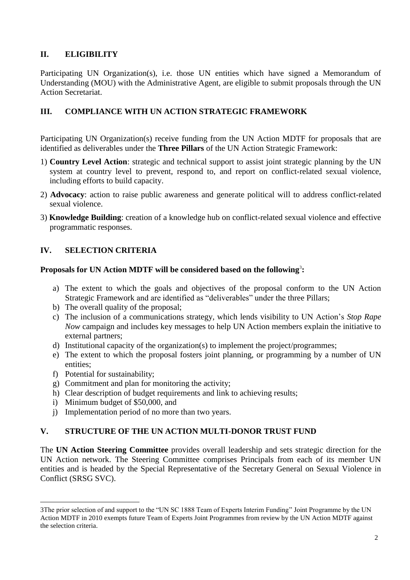## **II. ELIGIBILITY**

Participating UN Organization(s), i.e. those UN entities which have signed a Memorandum of Understanding (MOU) with the Administrative Agent, are eligible to submit proposals through the UN Action Secretariat.

### **III. COMPLIANCE WITH UN ACTION STRATEGIC FRAMEWORK**

Participating UN Organization(s) receive funding from the UN Action MDTF for proposals that are identified as deliverables under the **Three Pillars** of the UN Action Strategic Framework:

- 1) **Country Level Action**: strategic and technical support to assist joint strategic planning by the UN system at country level to prevent, respond to, and report on conflict-related sexual violence, including efforts to build capacity.
- 2) **Advocacy**: action to raise public awareness and generate political will to address conflict-related sexual violence.
- 3) **Knowledge Building**: creation of a knowledge hub on conflict-related sexual violence and effective programmatic responses.

# **IV. SELECTION CRITERIA**

### **Proposals for UN Action MDTF will be considered based on the following**<sup>3</sup> **:**

- a) The extent to which the goals and objectives of the proposal conform to the UN Action Strategic Framework and are identified as "deliverables" under the three Pillars;
- b) The overall quality of the proposal;
- c) The inclusion of a communications strategy, which lends visibility to UN Action's *Stop Rape Now* campaign and includes key messages to help UN Action members explain the initiative to external partners;
- d) Institutional capacity of the organization(s) to implement the project/programmes;
- e) The extent to which the proposal fosters joint planning, or programming by a number of UN entities;
- f) Potential for sustainability;

l

- g) Commitment and plan for monitoring the activity;
- h) Clear description of budget requirements and link to achieving results;
- i) Minimum budget of \$50,000, and
- j) Implementation period of no more than two years.

## **V. STRUCTURE OF THE UN ACTION MULTI-DONOR TRUST FUND**

The **UN Action Steering Committee** provides overall leadership and sets strategic direction for the UN Action network. The Steering Committee comprises Principals from each of its member UN entities and is headed by the Special Representative of the Secretary General on Sexual Violence in Conflict (SRSG SVC).

<sup>3</sup>The prior selection of and support to the "UN SC 1888 Team of Experts Interim Funding" Joint Programme by the UN Action MDTF in 2010 exempts future Team of Experts Joint Programmes from review by the UN Action MDTF against the selection criteria.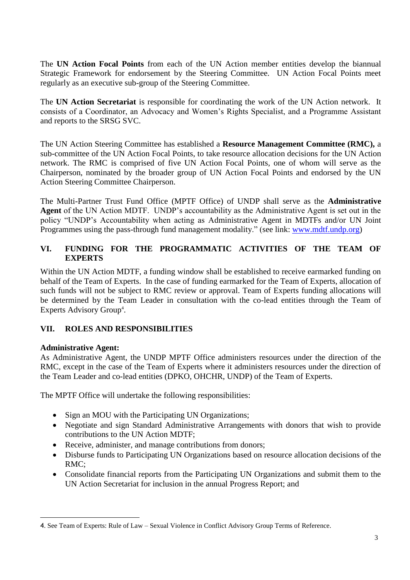The **UN Action Focal Points** from each of the UN Action member entities develop the biannual Strategic Framework for endorsement by the Steering Committee. UN Action Focal Points meet regularly as an executive sub-group of the Steering Committee.

The **UN Action Secretariat** is responsible for coordinating the work of the UN Action network. It consists of a Coordinator, an Advocacy and Women's Rights Specialist, and a Programme Assistant and reports to the SRSG SVC.

The UN Action Steering Committee has established a **Resource Management Committee (RMC),** a sub-committee of the UN Action Focal Points, to take resource allocation decisions for the UN Action network. The RMC is comprised of five UN Action Focal Points, one of whom will serve as the Chairperson, nominated by the broader group of UN Action Focal Points and endorsed by the UN Action Steering Committee Chairperson.

The Multi-Partner Trust Fund Office (MPTF Office) of UNDP shall serve as the **Administrative Agent** of the UN Action MDTF. UNDP's accountability as the Administrative Agent is set out in the policy ["UNDP's Accountability when acting as Administrative Agent in MDTFs and/or UN Joint](http://www.undp.org/mdtf/docs/UNDP-AA-guidelines.pdf)  [Programmes using the pass-through fund management modality.](http://www.undp.org/mdtf/docs/UNDP-AA-guidelines.pdf)" (see link: [www.mdtf.undp.org\)](http://www.mdtf.undp.org/)

### **VI. FUNDING FOR THE PROGRAMMATIC ACTIVITIES OF THE TEAM OF EXPERTS**

Within the UN Action MDTF, a funding window shall be established to receive earmarked funding on behalf of the Team of Experts. In the case of funding earmarked for the Team of Experts, allocation of such funds will not be subject to RMC review or approval. Team of Experts funding allocations will be determined by the Team Leader in consultation with the co-lead entities through the Team of Experts Advisory Group<sup>4</sup>.

## **VII. ROLES AND RESPONSIBILITIES**

### **Administrative Agent:**

As Administrative Agent, the UNDP MPTF Office administers resources under the direction of the RMC, except in the case of the Team of Experts where it administers resources under the direction of the Team Leader and co-lead entities (DPKO, OHCHR, UNDP) of the Team of Experts.

The MPTF Office will undertake the following responsibilities:

- Sign an MOU with the Participating UN Organizations;
- Negotiate and sign Standard Administrative Arrangements with donors that wish to provide contributions to the UN Action MDTF;
- Receive, administer, and manage contributions from donors;
- Disburse funds to Participating UN Organizations based on resource allocation decisions of the RMC;
- Consolidate financial reports from the Participating UN Organizations and submit them to the UN Action Secretariat for inclusion in the annual Progress Report; and

l 4. See Team of Experts: Rule of Law – Sexual Violence in Conflict Advisory Group Terms of Reference.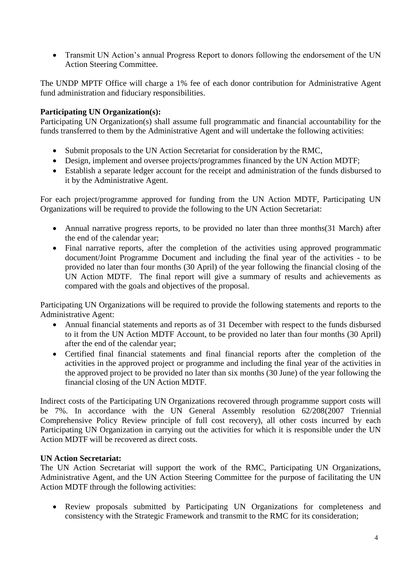• Transmit UN Action's annual Progress Report to donors following the endorsement of the UN Action Steering Committee.

The UNDP MPTF Office will charge a 1% fee of each donor contribution for Administrative Agent fund administration and fiduciary responsibilities.

### **Participating UN Organization(s):**

Participating UN Organization(s) shall assume full programmatic and financial accountability for the funds transferred to them by the Administrative Agent and will undertake the following activities:

- Submit proposals to the UN Action Secretariat for consideration by the RMC,
- Design, implement and oversee projects/programmes financed by the UN Action MDTF;
- Establish a separate ledger account for the receipt and administration of the funds disbursed to it by the Administrative Agent.

For each project/programme approved for funding from the UN Action MDTF, Participating UN Organizations will be required to provide the following to the UN Action Secretariat:

- Annual narrative progress reports, to be provided no later than three months(31 March) after the end of the calendar year;
- Final narrative reports, after the completion of the activities using approved programmatic document/Joint Programme Document and including the final year of the activities - to be provided no later than four months (30 April) of the year following the financial closing of the UN Action MDTF. The final report will give a summary of results and achievements as compared with the goals and objectives of the proposal.

Participating UN Organizations will be required to provide the following statements and reports to the Administrative Agent:

- Annual financial statements and reports as of 31 December with respect to the funds disbursed to it from the UN Action MDTF Account, to be provided no later than four months (30 April) after the end of the calendar year;
- Certified final financial statements and final financial reports after the completion of the activities in the approved project or programme and including the final year of the activities in the approved project to be provided no later than six months (30 June) of the year following the financial closing of the UN Action MDTF.

Indirect costs of the Participating UN Organizations recovered through programme support costs will be 7%. In accordance with the UN General Assembly resolution 62/208(2007 Triennial Comprehensive Policy Review principle of full cost recovery), all other costs incurred by each Participating UN Organization in carrying out the activities for which it is responsible under the UN Action MDTF will be recovered as direct costs.

#### **UN Action Secretariat:**

The UN Action Secretariat will support the work of the RMC, Participating UN Organizations, Administrative Agent, and the UN Action Steering Committee for the purpose of facilitating the UN Action MDTF through the following activities:

 Review proposals submitted by Participating UN Organizations for completeness and consistency with the Strategic Framework and transmit to the RMC for its consideration;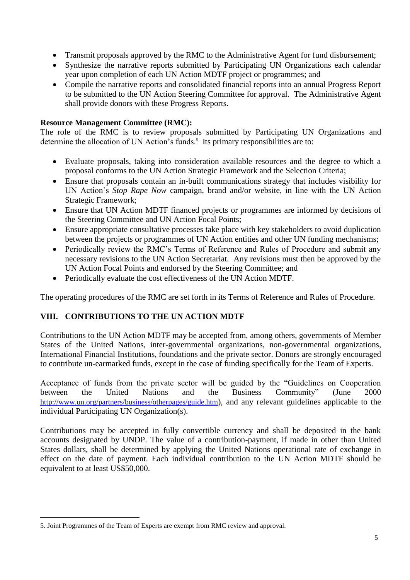- Transmit proposals approved by the RMC to the Administrative Agent for fund disbursement;
- Synthesize the narrative reports submitted by Participating UN Organizations each calendar year upon completion of each UN Action MDTF project or programmes; and
- Compile the narrative reports and consolidated financial reports into an annual Progress Report to be submitted to the UN Action Steering Committee for approval. The Administrative Agent shall provide donors with these Progress Reports.

#### **Resource Management Committee (RMC):**

The role of the RMC is to review proposals submitted by Participating UN Organizations and determine the allocation of UN Action's funds.<sup>5</sup> Its primary responsibilities are to:

- Evaluate proposals, taking into consideration available resources and the degree to which a proposal conforms to the UN Action Strategic Framework and the Selection Criteria;
- Ensure that proposals contain an in-built communications strategy that includes visibility for UN Action's *Stop Rape Now* campaign, brand and/or website, in line with the UN Action Strategic Framework;
- Ensure that UN Action MDTF financed projects or programmes are informed by decisions of the Steering Committee and UN Action Focal Points;
- Ensure appropriate consultative processes take place with key stakeholders to avoid duplication between the projects or programmes of UN Action entities and other UN funding mechanisms;
- Periodically review the RMC's Terms of Reference and Rules of Procedure and submit any necessary revisions to the UN Action Secretariat. Any revisions must then be approved by the UN Action Focal Points and endorsed by the Steering Committee; and
- Periodically evaluate the cost effectiveness of the UN Action MDTF.

The operating procedures of the RMC are set forth in its Terms of Reference and Rules of Procedure.

### **VIII. CONTRIBUTIONS TO THE UN ACTION MDTF**

Contributions to the UN Action MDTF may be accepted from, among others, governments of Member States of the United Nations, inter-governmental organizations, non-governmental organizations, International Financial Institutions, foundations and the private sector. Donors are strongly encouraged to contribute un-earmarked funds, except in the case of funding specifically for the Team of Experts.

Acceptance of funds from the private sector will be guided by the "Guidelines on Cooperation between the United Nations and the Business Community" (June 2000 <http://www.un.org/partners/business/otherpages/guide.htm>), and any relevant guidelines applicable to the individual Participating UN Organization(s).

Contributions may be accepted in fully convertible currency and shall be deposited in the bank accounts designated by UNDP. The value of a contribution-payment, if made in other than United States dollars, shall be determined by applying the United Nations operational rate of exchange in effect on the date of payment. Each individual contribution to the UN Action MDTF should be equivalent to at least US\$50,000.

l

<sup>5.</sup> Joint Programmes of the Team of Experts are exempt from RMC review and approval.